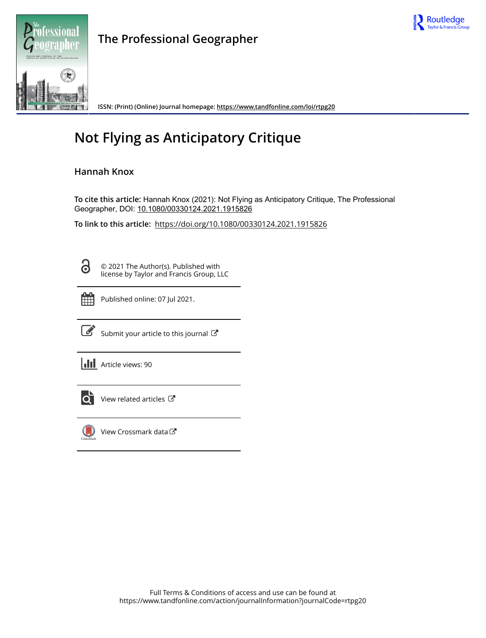



**The Professional Geographer**

**ISSN: (Print) (Online) Journal homepage:<https://www.tandfonline.com/loi/rtpg20>**

## **Not Flying as Anticipatory Critique**

## **Hannah Knox**

**To cite this article:** Hannah Knox (2021): Not Flying as Anticipatory Critique, The Professional Geographer, DOI: [10.1080/00330124.2021.1915826](https://www.tandfonline.com/action/showCitFormats?doi=10.1080/00330124.2021.1915826)

**To link to this article:** <https://doi.org/10.1080/00330124.2021.1915826>

8

© 2021 The Author(s). Published with license by Taylor and Francis Group, LLC



Published online: 07 Jul 2021.

[Submit your article to this journal](https://www.tandfonline.com/action/authorSubmission?journalCode=rtpg20&show=instructions)  $\mathbb{Z}$ 

**III** Article views: 90



[View related articles](https://www.tandfonline.com/doi/mlt/10.1080/00330124.2021.1915826)  $\mathbb{Z}$ 



[View Crossmark data](http://crossmark.crossref.org/dialog/?doi=10.1080/00330124.2021.1915826&domain=pdf&date_stamp=2021-07-07)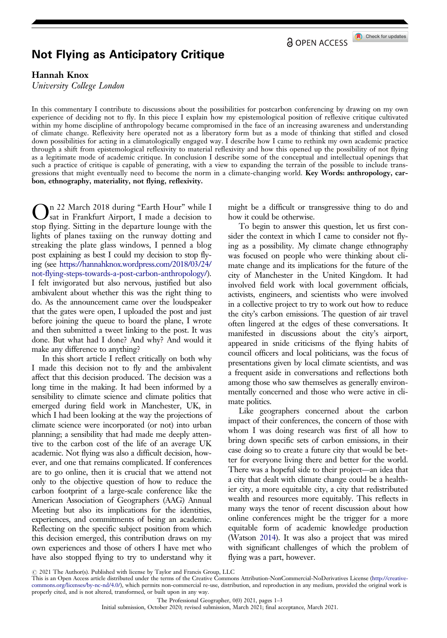**a** OPEN ACCESS

Check for updates

## <span id="page-1-0"></span>Not Flying as Anticipatory Critique

Hannah Knox

University College London

In this commentary I contribute to discussions about the possibilities for postcarbon conferencing by drawing on my own experience of deciding not to fly. In this piece I explain how my epistemological position of reflexive critique cultivated within my home discipline of anthropology became compromised in the face of an increasing awareness and understanding of climate change. Reflexivity here operated not as a liberatory form but as a mode of thinking that stifled and closed down possibilities for acting in a climatologically engaged way. I describe how I came to rethink my own academic practice through a shift from epistemological reflexivity to material reflexivity and how this opened up the possibility of not flying as a legitimate mode of academic critique. In conclusion I describe some of the conceptual and intellectual openings that such a practice of critique is capable of generating, with a view to expanding the terrain of the possible to include transgressions that might eventually need to become the norm in a climate-changing world. Key Words: anthropology, carbon, ethnography, materiality, not flying, reflexivity.

On 22 March 2018 during "Earth Hour" while I sat in Frankfurt Airport, I made a decision to stop flying. Sitting in the departure lounge with the lights of planes taxiing on the runway dotting and streaking the plate glass windows, I penned a blog post explaining as best I could my decision to stop flying (see [https://hannahknox.wordpress.com/2018/03/24/](https://hannahknox.wordpress.com/2018/03/24/not-flying-steps-towards-a-post-carbon-anthropology/) [not-flying-steps-towards-a-post-carbon-anthropology/](https://hannahknox.wordpress.com/2018/03/24/not-flying-steps-towards-a-post-carbon-anthropology/)). I felt invigorated but also nervous, justified but also ambivalent about whether this was the right thing to do. As the announcement came over the loudspeaker that the gates were open, I uploaded the post and just before joining the queue to board the plane, I wrote and then submitted a tweet linking to the post. It was done. But what had I done? And why? And would it make any difference to anything?

In this short article I reflect critically on both why I made this decision not to fly and the ambivalent affect that this decision produced. The decision was a long time in the making. It had been informed by a sensibility to climate science and climate politics that emerged during field work in Manchester, UK, in which I had been looking at the way the projections of climate science were incorporated (or not) into urban planning; a sensibility that had made me deeply attentive to the carbon cost of the life of an average UK academic. Not flying was also a difficult decision, however, and one that remains complicated. If conferences are to go online, then it is crucial that we attend not only to the objective question of how to reduce the carbon footprint of a large-scale conference like the American Association of Geographers (AAG) Annual Meeting but also its implications for the identities, experiences, and commitments of being an academic. Reflecting on the specific subject position from which this decision emerged, this contribution draws on my own experiences and those of others I have met who have also stopped flying to try to understand why it might be a difficult or transgressive thing to do and how it could be otherwise.

To begin to answer this question, let us first consider the context in which I came to consider not flying as a possibility. My climate change ethnography was focused on people who were thinking about climate change and its implications for the future of the city of Manchester in the United Kingdom. It had involved field work with local government officials, activists, engineers, and scientists who were involved in a collective project to try to work out how to reduce the city's carbon emissions. The question of air travel often lingered at the edges of these conversations. It manifested in discussions about the city's airport, appeared in snide criticisms of the flying habits of council officers and local politicians, was the focus of presentations given by local climate scientists, and was a frequent aside in conversations and reflections both among those who saw themselves as generally environmentally concerned and those who were active in climate politics.

Like geographers concerned about the carbon impact of their conferences, the concern of those with whom I was doing research was first of all how to bring down specific sets of carbon emissions, in their case doing so to create a future city that would be better for everyone living there and better for the world. There was a hopeful side to their project—an idea that a city that dealt with climate change could be a healthier city, a more equitable city, a city that redistributed wealth and resources more equitably. This reflects in many ways the tenor of recent discussion about how online conferences might be the trigger for a more equitable form of academic knowledge production (Watson [2014\)](#page-3-0). It was also a project that was mired with significant challenges of which the problem of flying was a part, however.

 $\odot$  2021 The Author(s). Published with license by Taylor and Francis Group, LLC

This is an Open Access article distributed under the terms of the Creative Commons Attribution-NonCommercial-NoDerivatives License (http://creativecommons.org/licenses/by-nc-nd/4.0/), which permits non-commercial re-use, distribution, and reproduction in any medium, provided the original work is properly cited, and is not altered, transformed, or built upon in any way.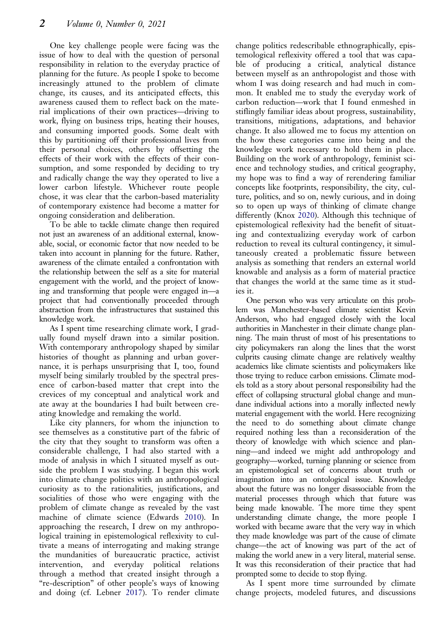<span id="page-2-0"></span>One key challenge people were facing was the issue of how to deal with the question of personal responsibility in relation to the everyday practice of planning for the future. As people I spoke to become increasingly attuned to the problem of climate change, its causes, and its anticipated effects, this awareness caused them to reflect back on the material implications of their own practices—driving to work, flying on business trips, heating their houses, and consuming imported goods. Some dealt with this by partitioning off their professional lives from their personal choices, others by offsetting the effects of their work with the effects of their consumption, and some responded by deciding to try and radically change the way they operated to live a lower carbon lifestyle. Whichever route people chose, it was clear that the carbon-based materiality of contemporary existence had become a matter for ongoing consideration and deliberation.

To be able to tackle climate change then required not just an awareness of an additional external, knowable, social, or economic factor that now needed to be taken into account in planning for the future. Rather, awareness of the climate entailed a confrontation with the relationship between the self as a site for material engagement with the world, and the project of knowing and transforming that people were engaged in—a project that had conventionally proceeded through abstraction from the infrastructures that sustained this knowledge work.

As I spent time researching climate work, I gradually found myself drawn into a similar position. With contemporary anthropology shaped by similar histories of thought as planning and urban governance, it is perhaps unsurprising that I, too, found myself being similarly troubled by the spectral presence of carbon-based matter that crept into the crevices of my conceptual and analytical work and ate away at the boundaries I had built between creating knowledge and remaking the world.

Like city planners, for whom the injunction to see themselves as a constitutive part of the fabric of the city that they sought to transform was often a considerable challenge, I had also started with a mode of analysis in which I situated myself as outside the problem I was studying. I began this work into climate change politics with an anthropological curiosity as to the rationalities, justifications, and socialities of those who were engaging with the problem of climate change as revealed by the vast machine of climate science (Edwards [2010\)](#page-3-0). In approaching the research, I drew on my anthropological training in epistemological reflexivity to cultivate a means of interrogating and making strange the mundanities of bureaucratic practice, activist intervention, and everyday political relations through a method that created insight through a "re-description" of other people's ways of knowing and doing (cf. Lebner [2017\)](#page-3-0). To render climate

change politics redescribable ethnographically, epistemological reflexivity offered a tool that was capable of producing a critical, analytical distance between myself as an anthropologist and those with whom I was doing research and had much in common. It enabled me to study the everyday work of carbon reduction—work that I found enmeshed in stiflingly familiar ideas about progress, sustainability, transitions, mitigations, adaptations, and behavior change. It also allowed me to focus my attention on the how these categories came into being and the knowledge work necessary to hold them in place. Building on the work of anthropology, feminist science and technology studies, and critical geography, my hope was to find a way of rerendering familiar concepts like footprints, responsibility, the city, culture, politics, and so on, newly curious, and in doing so to open up ways of thinking of climate change differently (Knox [2020\)](#page-3-0). Although this technique of epistemological reflexivity had the benefit of situating and contextualizing everyday work of carbon reduction to reveal its cultural contingency, it simultaneously created a problematic fissure between analysis as something that renders an external world knowable and analysis as a form of material practice that changes the world at the same time as it studies it.

One person who was very articulate on this problem was Manchester-based climate scientist Kevin Anderson, who had engaged closely with the local authorities in Manchester in their climate change planning. The main thrust of most of his presentations to city policymakers ran along the lines that the worst culprits causing climate change are relatively wealthy academics like climate scientists and policymakers like those trying to reduce carbon emissions. Climate models told as a story about personal responsibility had the effect of collapsing structural global change and mundane individual actions into a morally inflected newly material engagement with the world. Here recognizing the need to do something about climate change required nothing less than a reconsideration of the theory of knowledge with which science and planning—and indeed we might add anthropology and geography—worked, turning planning or science from an epistemological set of concerns about truth or imagination into an ontological issue. Knowledge about the future was no longer disassociable from the material processes through which that future was being made knowable. The more time they spent understanding climate change, the more people I worked with became aware that the very way in which they made knowledge was part of the cause of climate change—the act of knowing was part of the act of making the world anew in a very literal, material sense. It was this reconsideration of their practice that had prompted some to decide to stop flying.

As I spent more time surrounded by climate change projects, modeled futures, and discussions